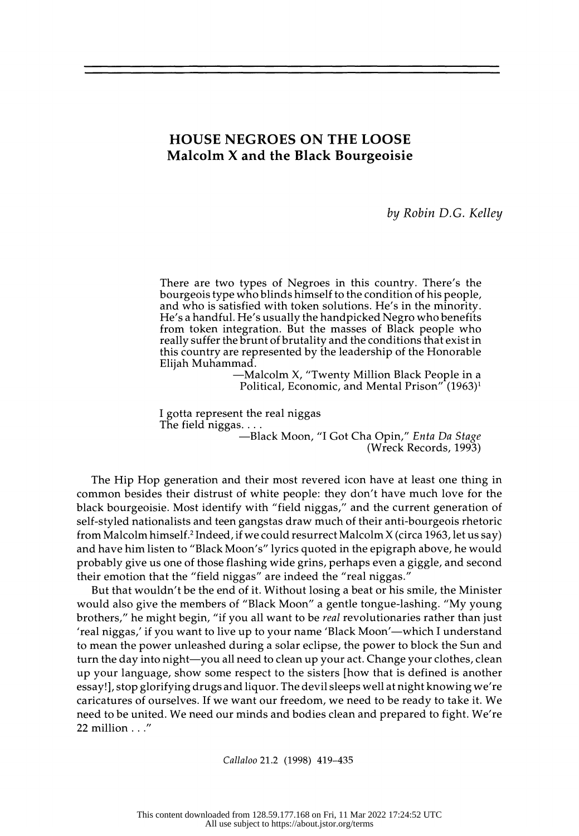## HOUSE NEGROES ON THE LOOSE Malcolm X and the Black Bourgeoisie

by Robin D.G. Kelley

There are two types of Negroes in this country. There's the bourgeois type who blinds himself to the condition of his people, and who is satisfied with token solutions. He's in the minority. He's a handful. He's usually the handpicked Negro who benefits from token integration. But the masses of Black people who really suffer the brunt of brutality and the conditions that exist in this country are represented by the leadership of the Honorable Elijah Muhammad.

-Malcolm X, "Twenty Million Black People in a Political, Economic, and Mental Prison" (1963)<sup>1</sup>

I gotta represent the real niggas The field niggas.... -Black Moon, "I Got Cha Opin," Enta Da Stage (Wreck Records, 1993)

The Hip Hop generation and their most revered icon have at least one thing in common besides their distrust of white people: they don't have much love for the black bourgeoisie. Most identify with "field niggas," and the current generation of self-styled nationalists and teen gangstas draw much of their anti-bourgeois rhetoric from Malcolm himself.2 Indeed, if we could resurrect Malcolm X (circa 1963, let us say) and have him listen to "Black Moon's" lyrics quoted in the epigraph above, he would probably give us one of those flashing wide grins, perhaps even a giggle, and second their emotion that the "field niggas" are indeed the "real niggas."

But that wouldn't be the end of it. Without losing a beat or his smile, the Minister would also give the members of "Black Moon" a gentle tongue-lashing. "My young brothers," he might begin, "if you all want to be *real* revolutionaries rather than just 'real niggas,' if you want to live up to your name 'Black Moon'-which I understand to mean the power unleashed during a solar eclipse, the power to block the Sun and turn the day into night-you all need to clean up your act. Change your clothes, clean up your language, show some respect to the sisters [how that is defined is another essay!], stop glorifying drugs and liquor. The devil sleeps well at night knowing we're caricatures of ourselves. If we want our freedom, we need to be ready to take it. We need to be united. We need our minds and bodies clean and prepared to fight. We're 22 million.. ."

Callaloo 21.2 (1998) 419-435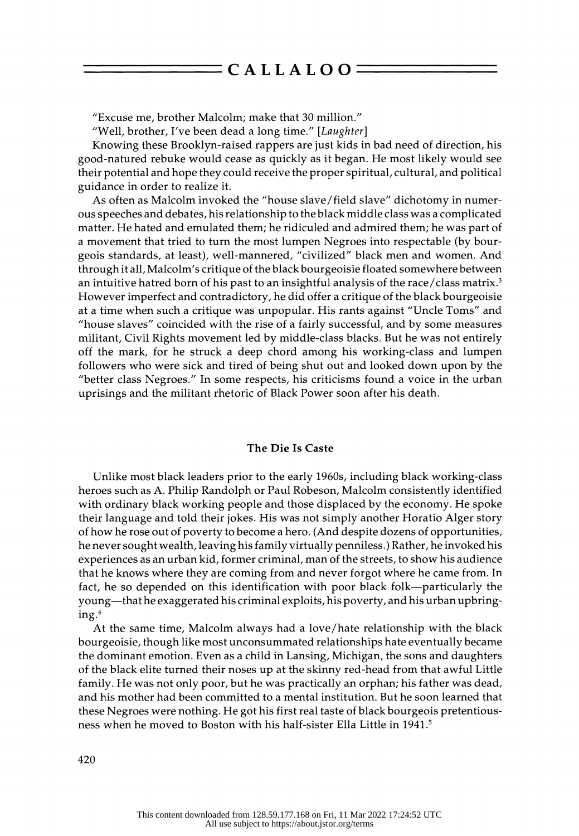$= C A L L A L O O =$ 

"Excuse me, brother Malcolm; make that 30 million."

"Well, brother, I've been dead a long time." [Laughter]

Knowing these Brooklyn-raised rappers are just kids in bad need of direction, his good-natured rebuke would cease as quickly as it began. He most likely would see their potential and hope they could receive the proper spiritual, cultural, and political guidance in order to realize it.

As often as Malcolm invoked the "house slave/field slave" dichotomy in numerous speeches and debates, his relationship to the black middle class was a complicated matter. He hated and emulated them; he ridiculed and admired them; he was part of a movement that tried to turn the most lumpen Negroes into respectable (by bourgeois standards, at least), well-mannered, "civilized" black men and women. And through it all, Malcolm's critique of the black bourgeoisie floated somewhere between an intuitive hatred born of his past to an insightful analysis of the race/class matrix.<sup>3</sup> However imperfect and contradictory, he did offer a critique of the black bourgeoisie at a time when such a critique was unpopular. His rants against "Uncle Toms" and "house slaves" coincided with the rise of a fairly successful, and by some measures militant, Civil Rights movement led by middle-class blacks. But he was not entirely off the mark, for he struck a deep chord among his working-class and lumpen followers who were sick and tired of being shut out and looked down upon by the "better class Negroes." In some respects, his criticisms found a voice in the urban uprisings and the militant rhetoric of Black Power soon after his death.

#### The Die Is Caste

Unlike most black leaders prior to the early 1960s, including black working-class heroes such as A. Philip Randolph or Paul Robeson, Malcolm consistently identified with ordinary black working people and those displaced by the economy. He spoke their language and told their jokes. His was not simply another Horatio Alger story of how he rose out of poverty to become a hero. (And despite dozens of opportunities, he never sought wealth, leaving his family virtually penniless.) Rather, he invoked his experiences as an urban kid, former criminal, man of the streets, to show his audience that he knows where they are coming from and never forgot where he came from. In fact, he so depended on this identification with poor black folk—particularly the young—that he exaggerated his criminal exploits, his poverty, and his urban upbringing.4

At the same time, Malcolm always had a love/hate relationship with the black bourgeoisie, though like most unconsummated relationships hate eventually became the dominant emotion. Even as a child in Lansing, Michigan, the sons and daughters of the black elite turned their noses up at the skinny red-head from that awful Little family. He was not only poor, but he was practically an orphan; his father was dead, and his mother had been committed to a mental institution. But he soon learned that these Negroes were nothing. He got his first real taste of black bourgeois pretentiousness when he moved to Boston with his half-sister Ella Little in 1941.<sup>5</sup>

420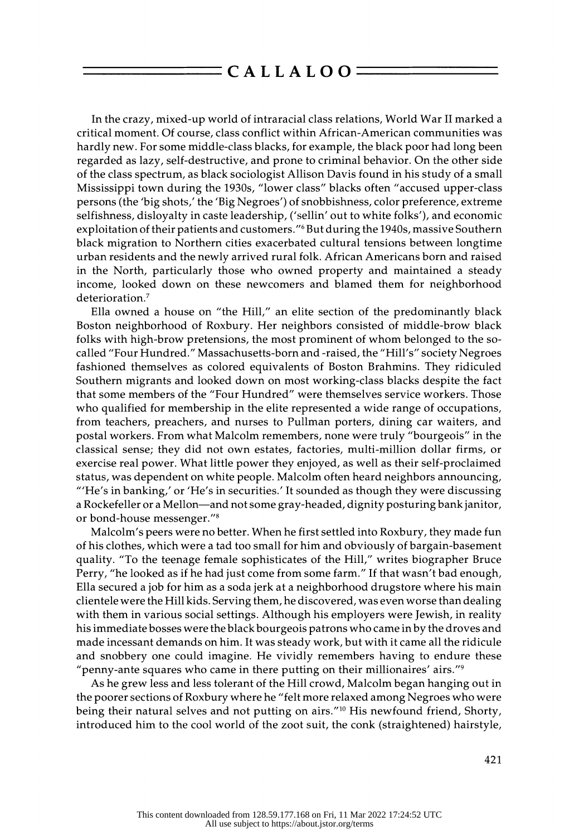In the crazy, mixed-up world of intraracial class relations, World War II marked a critical moment. Of course, class conflict within African-American communities was hardly new. For some middle-class blacks, for example, the black poor had long been regarded as lazy, self-destructive, and prone to criminal behavior. On the other side of the class spectrum, as black sociologist Allison Davis found in his study of a small Mississippi town during the 1930s, "lower class" blacks often "accused upper-class persons (the 'big shots,' the 'Big Negroes') of snobbishness, color preference, extreme selfishness, disloyalty in caste leadership, ('sellin' out to white folks'), and economic exploitation of their patients and customers."<sup>6</sup> But during the 1940s, massive Southern black migration to Northern cities exacerbated cultural tensions between longtime urban residents and the newly arrived rural folk. African Americans born and raised in the North, particularly those who owned property and maintained a steady income, looked down on these newcomers and blamed them for neighborhood deterioration.<sup>7</sup>

Ella owned a house on "the Hill," an elite section of the predominantly black Boston neighborhood of Roxbury. Her neighbors consisted of middle-brow black folks with high-brow pretensions, the most prominent of whom belonged to the socalled "Four Hundred." Massachusetts-born and -raised, the "Hill's" society Negroes fashioned themselves as colored equivalents of Boston Brahmins. They ridiculed Southern migrants and looked down on most working-class blacks despite the fact that some members of the "Four Hundred" were themselves service workers. Those who qualified for membership in the elite represented a wide range of occupations, from teachers, preachers, and nurses to Pullman porters, dining car waiters, and postal workers. From what Malcolm remembers, none were truly "bourgeois" in the classical sense; they did not own estates, factories, multi-million dollar firms, or exercise real power. What little power they enjoyed, as well as their self-proclaimed status, was dependent on white people. Malcolm often heard neighbors announcing, "'He's in banking,' or 'He's in securities.' It sounded as though they were discussing a Rockefeller or a Mellon-and not some gray-headed, dignity posturing bank janitor, or bond-house messenger."8

Malcolm's peers were no better. When he first settled into Roxbury, they made fun of his clothes, which were a tad too small for him and obviously of bargain-basement quality. "To the teenage female sophisticates of the Hill," writes biographer Bruce Perry, "he looked as if he had just come from some farm." If that wasn't bad enough, Ella secured a job for him as a soda jerk at a neighborhood drugstore where his main clientele were the Hill kids. Serving them, he discovered, was even worse than dealing with them in various social settings. Although his employers were Jewish, in reality his immediate bosses were the black bourgeois patrons who came in by the droves and made incessant demands on him. It was steady work, but with it came all the ridicule and snobbery one could imagine. He vividly remembers having to endure these "penny-ante squares who came in there putting on their millionaires' airs."9

As he grew less and less tolerant of the Hill crowd, Malcolm began hanging out in the poorer sections of Roxbury where he "felt more relaxed among Negroes who were being their natural selves and not putting on airs."10 His newfound friend, Shorty, introduced him to the cool world of the zoot suit, the conk (straightened) hairstyle,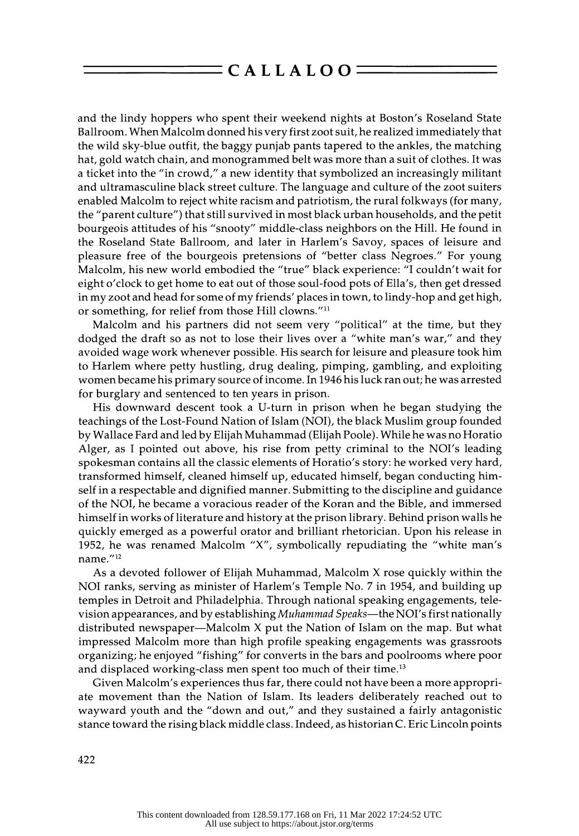and the lindy hoppers who spent their weekend nights at Boston's Roseland State Ballroom. When Malcolm donned his very first zoot suit, he realized immediately that the wild sky-blue outfit, the baggy punjab pants tapered to the ankles, the matching hat, gold watch chain, and monogrammed belt was more than a suit of clothes. It was a ticket into the "in crowd," a new identity that symbolized an increasingly militant and ultramasculine black street culture. The language and culture of the zoot suiters enabled Malcolm to reject white racism and patriotism, the rural folkways (for many, the "parent culture") that still survived in most black urban households, and the petit bourgeois attitudes of his "snooty" middle-class neighbors on the Hill. He found in the Roseland State Ballroom, and later in Harlem's Savoy, spaces of leisure and pleasure free of the bourgeois pretensions of "better class Negroes." For young Malcolm, his new world embodied the "true" black experience: "I couldn't wait for eight o'clock to get home to eat out of those soul-food pots of Ella's, then get dressed in my zoot and head for some of my friends' places in town, to lindy-hop and get high, or something, for relief from those Hill clowns."<sup>11</sup>

Malcolm and his partners did not seem very "political" at the time, but they dodged the draft so as not to lose their lives over a "white man's war," and they avoided wage work whenever possible. His search for leisure and pleasure took him to Harlem where petty hustling, drug dealing, pimping, gambling, and exploiting women became his primary source of income. In 1946 his luck ran out; he was arrested for burglary and sentenced to ten years in prison.

His downward descent took a U-turn in prison when he began studying the teachings of the Lost-Found Nation of Islam (NOI), the black Muslim group founded by Wallace Fard and led by Elijah Muhammad (Elijah Poole). While he was no Horatio Alger, as I pointed out above, his rise from petty criminal to the NOI's leading spokesman contains all the classic elements of Horatio's story: he worked very hard, transformed himself, cleaned himself up, educated himself, began conducting himself in a respectable and dignified manner. Submitting to the discipline and guidance of the NOI, he became a voracious reader of the Koran and the Bible, and immersed himself in works of literature and history at the prison library. Behind prison walls he quickly emerged as a powerful orator and brilliant rhetorician. Upon his release in 1952, he was renamed Malcolm " $X''$ , symbolically repudiating the "white man's name."12

As a devoted follower of Elijah Muhammad, Malcolm X rose quickly within the NOI ranks, serving as minister of Harlem's Temple No. 7 in 1954, and building up temples in Detroit and Philadelphia. Through national speaking engagements, television appearances, and by establishing Muhammad Speaks-the NOI's first nationally distributed newspaper-Malcolm X put the Nation of Islam on the map. But what impressed Malcolm more than high profile speaking engagements was grassroots organizing; he enjoyed "fishing" for converts in the bars and poolrooms where poor and displaced working-class men spent too much of their time.<sup>13</sup>

Given Malcolm's experiences thus far, there could not have been a more appropriate movement than the Nation of Islam. Its leaders deliberately reached out to wayward youth and the "down and out," and they sustained a fairly antagonistic stance toward the rising black middle class. Indeed, as historian C. Eric Lincoln points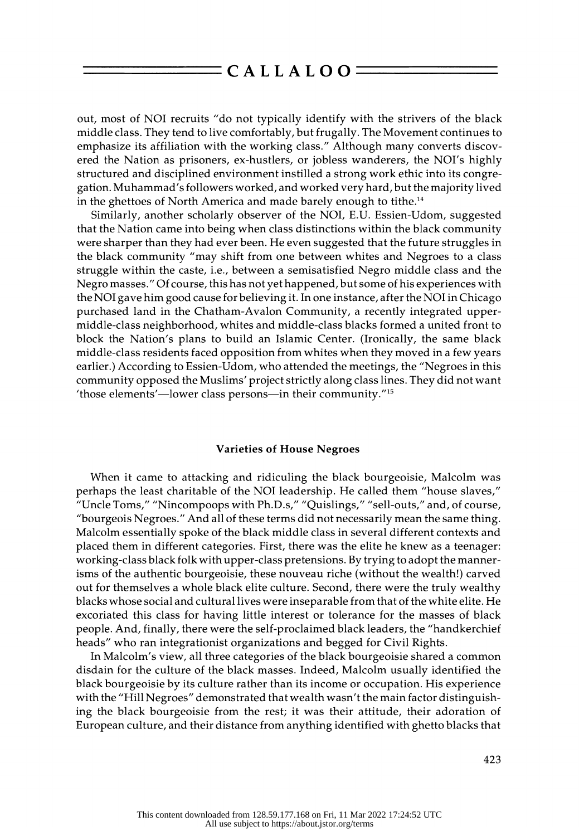# $= C A L L A L O O =$

out, most of NOI recruits "do not typically identify with the strivers of the black middle class. They tend to live comfortably, but frugally. The Movement continues to emphasize its affiliation with the working class." Although many converts discovered the Nation as prisoners, ex-hustlers, or jobless wanderers, the NOI's highly structured and disciplined environment instilled a strong work ethic into its congregation. Muhammad's followers worked, and worked very hard, but the majority lived in the ghettoes of North America and made barely enough to tithe.<sup>14</sup>

Similarly, another scholarly observer of the NOI, E.U. Essien-Udom, suggested that the Nation came into being when class distinctions within the black community were sharper than they had ever been. He even suggested that the future struggles in the black community "may shift from one between whites and Negroes to a class struggle within the caste, i.e., between a semisatisfied Negro middle class and the Negro masses." Of course, this has not yet happened, but some of his experiences with the NOI gave him good cause for believing it. In one instance, after the NOI in Chicago purchased land in the Chatham-Avalon Community, a recently integrated uppermiddle-class neighborhood, whites and middle-class blacks formed a united front to block the Nation's plans to build an Islamic Center. (Ironically, the same black middle-class residents faced opposition from whites when they moved in a few years earlier.) According to Essien-Udom, who attended the meetings, the "Negroes in this community opposed the Muslims' project strictly along class lines. They did not want 'those elements'—lower class persons—in their community. $115$ 

#### Varieties of House Negroes

When it came to attacking and ridiculing the black bourgeoisie, Malcolm was perhaps the least charitable of the NOI leadership. He called them "house slaves," "Uncle Toms," "Nincompoops with Ph.D.s," "Quislings," "sell-outs," and, of course, "bourgeois Negroes." And all of these terms did not necessarily mean the same thing. Malcolm essentially spoke of the black middle class in several different contexts and placed them in different categories. First, there was the elite he knew as a teenager: working-class black folk with upper-class pretensions. By trying to adopt the mannerisms of the authentic bourgeoisie, these nouveau riche (without the wealth!) carved out for themselves a whole black elite culture. Second, there were the truly wealthy blacks whose social and cultural lives were inseparable from that of the white elite. He excoriated this class for having little interest or tolerance for the masses of black people. And, finally, there were the self-proclaimed black leaders, the "handkerchief heads" who ran integrationist organizations and begged for Civil Rights.

In Malcolm's view, all three categories of the black bourgeoisie shared a common disdain for the culture of the black masses. Indeed, Malcolm usually identified the black bourgeoisie by its culture rather than its income or occupation. His experience with the "Hill Negroes" demonstrated that wealth wasn't the main factor distinguishing the black bourgeoisie from the rest; it was their attitude, their adoration of European culture, and their distance from anything identified with ghetto blacks that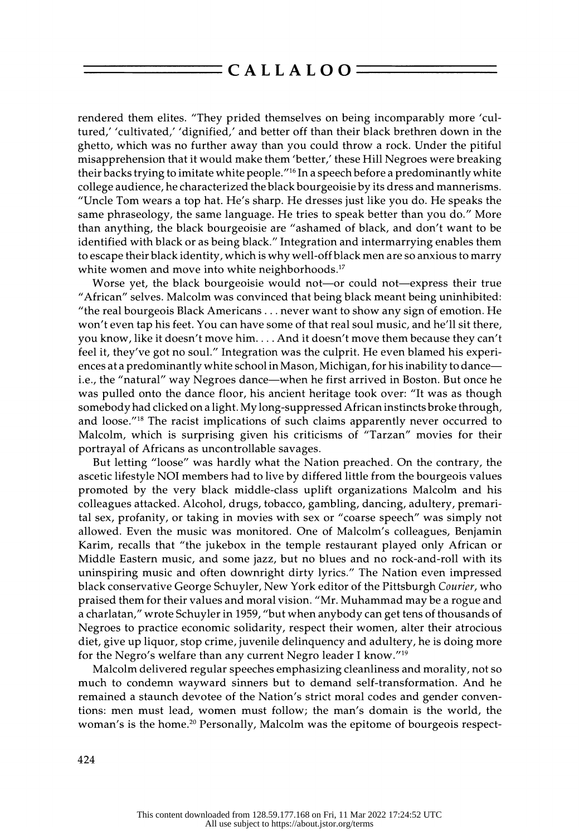### CALLALOO

rendered them elites. "They prided themselves on being incomparably more 'cultured,' 'cultivated,' 'dignified,' and better off than their black brethren down in the ghetto, which was no further away than you could throw a rock. Under the pitiful misapprehension that it would make them 'better,' these Hill Negroes were breaking their backs trying to imitate white people."16 In a speech before a predominantly white college audience, he characterized the black bourgeoisie by its dress and mannerisms. "Uncle Tom wears a top hat. He's sharp. He dresses just like you do. He speaks the same phraseology, the same language. He tries to speak better than you do." More than anything, the black bourgeoisie are "ashamed of black, and don't want to be identified with black or as being black." Integration and intermarrying enables them to escape their black identity, which is why well-off black men are so anxious to marry white women and move into white neighborhoods.<sup>17</sup>

Worse yet, the black bourgeoisie would not-or could not-express their true "African" selves. Malcolm was convinced that being black meant being uninhibited: "the real bourgeois Black Americans ... never want to show any sign of emotion. He won't even tap his feet. You can have some of that real soul music, and he'll sit there, you know, like it doesn't move him.... And it doesn't move them because they can't feel it, they've got no soul." Integration was the culprit. He even blamed his experiences at a predominantly white school in Mason, Michigan, for his inability to dancei.e., the "natural" way Negroes dance-when he first arrived in Boston. But once he was pulled onto the dance floor, his ancient heritage took over: "It was as though somebody had clicked on a light. My long-suppressed African instincts broke through, and loose."<sup>18</sup> The racist implications of such claims apparently never occurred to Malcolm, which is surprising given his criticisms of "Tarzan" movies for their portrayal of Africans as uncontrollable savages.

But letting "loose" was hardly what the Nation preached. On the contrary, the ascetic lifestyle NOI members had to live by differed little from the bourgeois values promoted by the very black middle-class uplift organizations Malcolm and his colleagues attacked. Alcohol, drugs, tobacco, gambling, dancing, adultery, premarital sex, profanity, or taking in movies with sex or "coarse speech" was simply not allowed. Even the music was monitored. One of Malcolm's colleagues, Benjamin Karim, recalls that "the jukebox in the temple restaurant played only African or Middle Eastern music, and some jazz, but no blues and no rock-and-roll with its uninspiring music and often downright dirty lyrics." The Nation even impressed black conservative George Schuyler, New York editor of the Pittsburgh Courier, who praised them for their values and moral vision. "Mr. Muhammad may be a rogue and a charlatan," wrote Schuyler in 1959, "but when anybody can get tens of thousands of Negroes to practice economic solidarity, respect their women, alter their atrocious diet, give up liquor, stop crime, juvenile delinquency and adultery, he is doing more for the Negro's welfare than any current Negro leader I know."19

Malcolm delivered regular speeches emphasizing cleanliness and morality, not so much to condemn wayward sinners but to demand self-transformation. And he remained a staunch devotee of the Nation's strict moral codes and gender conventions: men must lead, women must follow; the man's domain is the world, the woman's is the home.<sup>20</sup> Personally, Malcolm was the epitome of bourgeois respect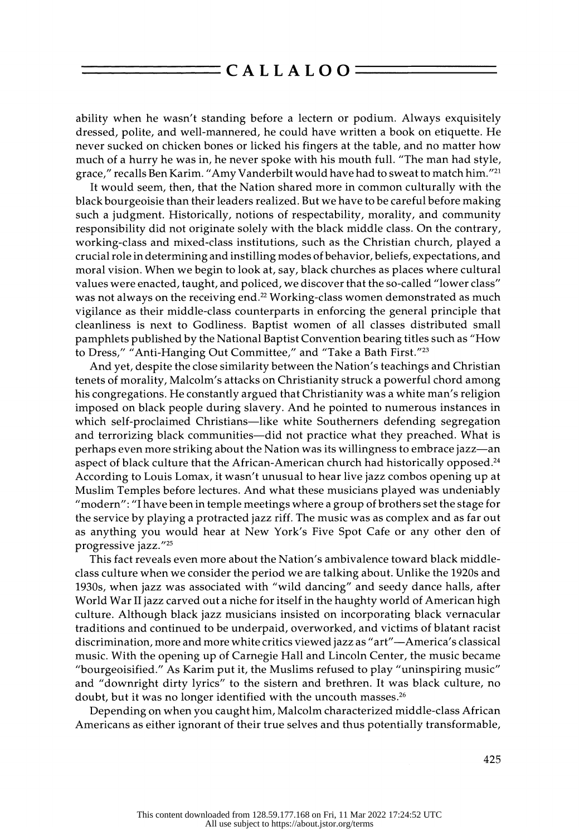ability when he wasn't standing before a lectern or podium. Always exquisitely dressed, polite, and well-mannered, he could have written a book on etiquette. He never sucked on chicken bones or licked his fingers at the table, and no matter how much of a hurry he was in, he never spoke with his mouth full. "The man had style, grace," recalls Ben Karim. "Amy Vanderbilt would have had to sweat to match him."21

It would seem, then, that the Nation shared more in common culturally with the black bourgeoisie than their leaders realized. But we have to be careful before making such a judgment. Historically, notions of respectability, morality, and community responsibility did not originate solely with the black middle class. On the contrary, working-class and mixed-class institutions, such as the Christian church, played a crucial role in determining and instilling modes of behavior, beliefs, expectations, and moral vision. When we begin to look at, say, black churches as places where cultural values were enacted, taught, and policed, we discover that the so-called "lower class" was not always on the receiving end.<sup>22</sup> Working-class women demonstrated as much vigilance as their middle-class counterparts in enforcing the general principle that cleanliness is next to Godliness. Baptist women of all classes distributed small pamphlets published by the National Baptist Convention bearing titles such as "How to Dress," "Anti-Hanging Out Committee," and "Take a Bath First."23

And yet, despite the close similarity between the Nation's teachings and Christian tenets of morality, Malcolm's attacks on Christianity struck a powerful chord among his congregations. He constantly argued that Christianity was a white man's religion imposed on black people during slavery. And he pointed to numerous instances in which self-proclaimed Christians-like white Southerners defending segregation and terrorizing black communities—did not practice what they preached. What is perhaps even more striking about the Nation was its willingness to embrace jazz—an aspect of black culture that the African-American church had historically opposed.24 According to Louis Lomax, it wasn't unusual to hear live jazz combos opening up at Muslim Temples before lectures. And what these musicians played was undeniably "modern": "I have been in temple meetings where a group of brothers set the stage for the service by playing a protracted jazz riff. The music was as complex and as far out as anything you would hear at New York's Five Spot Cafe or any other den of progressive jazz."25

This fact reveals even more about the Nation's ambivalence toward black middleclass culture when we consider the period we are talking about. Unlike the 1920s and 1930s, when jazz was associated with "wild dancing" and seedy dance halls, after World War II jazz carved out a niche for itself in the haughty world of American high culture. Although black jazz musicians insisted on incorporating black vernacular traditions and continued to be underpaid, overworked, and victims of blatant racist discrimination, more and more white critics viewed jazz as "art"-America's classical music. With the opening up of Carnegie Hall and Lincoln Center, the music became "bourgeoisified." As Karim put it, the Muslims refused to play "uninspiring music" and "downright dirty lyrics" to the sistern and brethren. It was black culture, no doubt, but it was no longer identified with the uncouth masses.<sup>26</sup>

Depending on when you caught him, Malcolm characterized middle-class African Americans as either ignorant of their true selves and thus potentially transformable,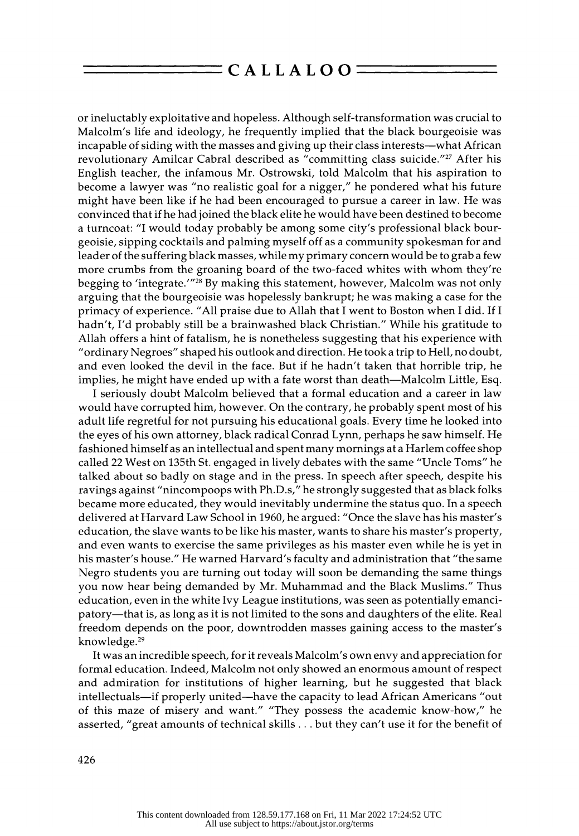or ineluctably exploitative and hopeless. Although self-transformation was crucial to Malcolm's life and ideology, he frequently implied that the black bourgeoisie was incapable of siding with the masses and giving up their class interests—what African revolutionary Amilcar Cabral described as "committing class suicide."<sup>27</sup> After his English teacher, the infamous Mr. Ostrowski, told Malcolm that his aspiration to become a lawyer was "no realistic goal for a nigger," he pondered what his future might have been like if he had been encouraged to pursue a career in law. He was convinced that if he had joined the black elite he would have been destined to become a turncoat: "I would today probably be among some city's professional black bourgeoisie, sipping cocktails and palming myself off as a community spokesman for and leader of the suffering black masses, while my primary concern would be to grab a few more crumbs from the groaning board of the two-faced whites with whom they're begging to 'integrate.'"<sup>28</sup> By making this statement, however, Malcolm was not only arguing that the bourgeoisie was hopelessly bankrupt; he was making a case for the primacy of experience. "All praise due to Allah that I went to Boston when I did. If I hadn't, I'd probably still be a brainwashed black Christian." While his gratitude to Allah offers a hint of fatalism, he is nonetheless suggesting that his experience with "ordinary Negroes" shaped his outlook and direction. He took a trip to Hell, no doubt, and even looked the devil in the face. But if he hadn't taken that horrible trip, he implies, he might have ended up with a fate worst than death—Malcolm Little, Esq.

I seriously doubt Malcolm believed that a formal education and a career in law would have corrupted him, however. On the contrary, he probably spent most of his adult life regretful for not pursuing his educational goals. Every time he looked into the eyes of his own attorney, black radical Conrad Lynn, perhaps he saw himself. He fashioned himself as an intellectual and spent many mornings at a Harlem coffee shop called 22 West on 135th St. engaged in lively debates with the same "Uncle Toms" he talked about so badly on stage and in the press. In speech after speech, despite his ravings against "nincompoops with Ph.D.s," he strongly suggested that as black folks became more educated, they would inevitably undermine the status quo. In a speech delivered at Harvard Law School in 1960, he argued: "Once the slave has his master's education, the slave wants to be like his master, wants to share his master's property, and even wants to exercise the same privileges as his master even while he is yet in his master's house." He warned Harvard's faculty and administration that "the same Negro students you are turning out today will soon be demanding the same things you now hear being demanded by Mr. Muhammad and the Black Muslims." Thus education, even in the white Ivy League institutions, was seen as potentially emancipatory-that is, as long as it is not limited to the sons and daughters of the elite. Real freedom depends on the poor, downtrodden masses gaining access to the master's knowledge.<sup>29</sup>

It was an incredible speech, for it reveals Malcolm's own envy and appreciation for formal education. Indeed, Malcolm not only showed an enormous amount of respect and admiration for institutions of higher learning, but he suggested that black intellectuals—if properly united—have the capacity to lead African Americans "out of this maze of misery and want." "They possess the academic know-how," he asserted, "great amounts of technical skills ... but they can't use it for the benefit of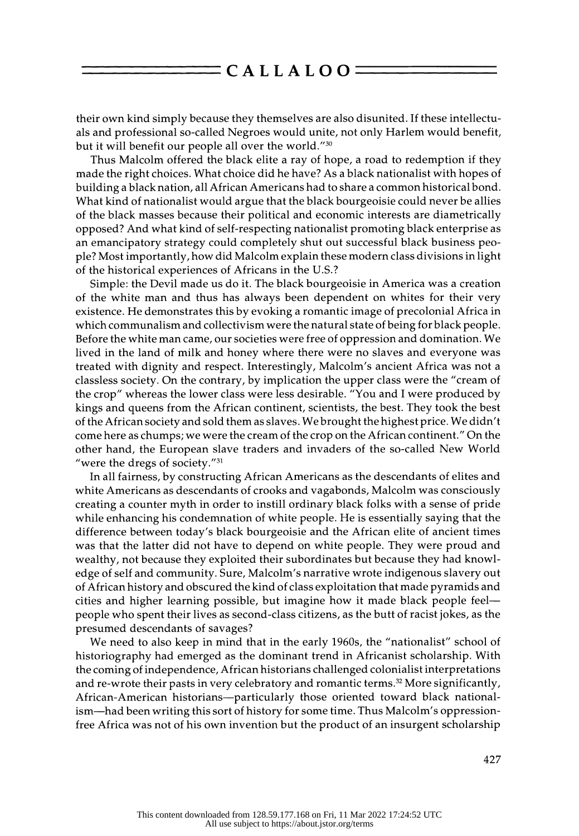## CALLALOO

their own kind simply because they themselves are also disunited. If these intellectuals and professional so-called Negroes would unite, not only Harlem would benefit, but it will benefit our people all over the world."30

Thus Malcolm offered the black elite a ray of hope, a road to redemption if they made the right choices. What choice did he have? As a black nationalist with hopes of building a black nation, all African Americans had to share a common historical bond. What kind of nationalist would argue that the black bourgeoisie could never be allies of the black masses because their political and economic interests are diametrically opposed? And what kind of self-respecting nationalist promoting black enterprise as an emancipatory strategy could completely shut out successful black business people? Most importantly, how did Malcolm explain these modern class divisions in light of the historical experiences of Africans in the U.S.?

Simple: the Devil made us do it. The black bourgeoisie in America was a creation of the white man and thus has always been dependent on whites for their very existence. He demonstrates this by evoking a romantic image of precolonial Africa in which communalism and collectivism were the natural state of being for black people. Before the white man came, our societies were free of oppression and domination. We lived in the land of milk and honey where there were no slaves and everyone was treated with dignity and respect. Interestingly, Malcolm's ancient Africa was not a classless society. On the contrary, by implication the upper class were the "cream of the crop" whereas the lower class were less desirable. "You and I were produced by kings and queens from the African continent, scientists, the best. They took the best of the African society and sold them as slaves. We brought the highest price. We didn't come here as chumps; we were the cream of the crop on the African continent." On the other hand, the European slave traders and invaders of the so-called New World "were the dregs of society."31

In all fairness, by constructing African Americans as the descendants of elites and white Americans as descendants of crooks and vagabonds, Malcolm was consciously creating a counter myth in order to instill ordinary black folks with a sense of pride while enhancing his condemnation of white people. He is essentially saying that the difference between today's black bourgeoisie and the African elite of ancient times was that the latter did not have to depend on white people. They were proud and wealthy, not because they exploited their subordinates but because they had knowledge of self and community. Sure, Malcolm's narrative wrote indigenous slavery out of African history and obscured the kind of class exploitation that made pyramids and cities and higher learning possible, but imagine how it made black people feel people who spent their lives as second-class citizens, as the butt of racist jokes, as the presumed descendants of savages?

We need to also keep in mind that in the early 1960s, the "nationalist" school of historiography had emerged as the dominant trend in Africanist scholarship. With the coming of independence, African historians challenged colonialist interpretations and re-wrote their pasts in very celebratory and romantic terms.<sup>32</sup> More significantly, African-American historians—particularly those oriented toward black nationalism-had been writing this sort of history for some time. Thus Malcolm's oppressionfree Africa was not of his own invention but the product of an insurgent scholarship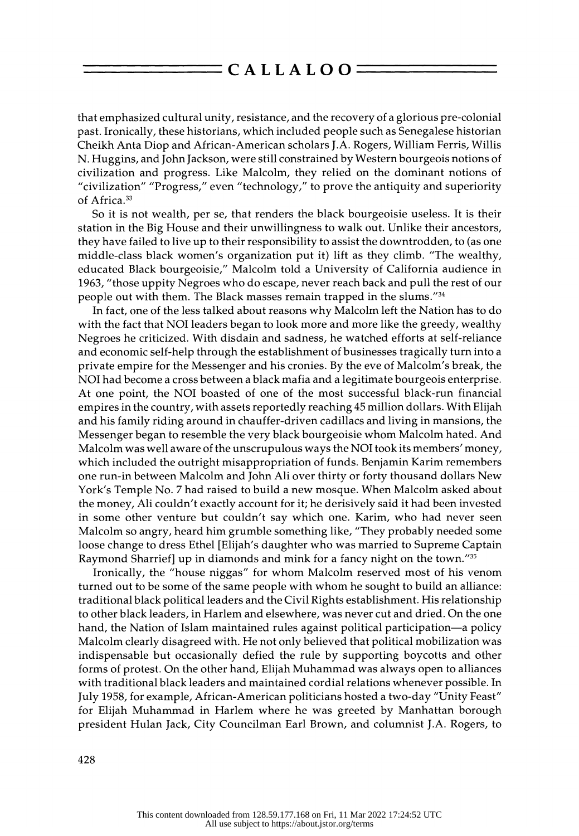#### $\equiv$   $C$  A L L A L O O  $\equiv$

that emphasized cultural unity, resistance, and the recovery of a glorious pre-colonial past. Ironically, these historians, which included people such as Senegalese historian Cheikh Anta Diop and African-American scholars J.A. Rogers, William Ferris, Willis N. Huggins, and John Jackson, were still constrained by Western bourgeois notions of civilization and progress. Like Malcolm, they relied on the dominant notions of "civilization" "Progress," even "technology," to prove the antiquity and superiority of Africa.<sup>33</sup>

So it is not wealth, per se, that renders the black bourgeoisie useless. It is their station in the Big House and their unwillingness to walk out. Unlike their ancestors, they have failed to live up to their responsibility to assist the downtrodden, to (as one middle-class black women's organization put it) lift as they climb. "The wealthy, educated Black bourgeoisie," Malcolm told a University of California audience in 1963, "those uppity Negroes who do escape, never reach back and pull the rest of our people out with them. The Black masses remain trapped in the slums."34

In fact, one of the less talked about reasons why Malcolm left the Nation has to do with the fact that NOI leaders began to look more and more like the greedy, wealthy Negroes he criticized. With disdain and sadness, he watched efforts at self-reliance and economic self-help through the establishment of businesses tragically turn into a private empire for the Messenger and his cronies. By the eve of Malcolm's break, the NOI had become a cross between a black mafia and a legitimate bourgeois enterprise. At one point, the NOI boasted of one of the most successful black-run financial empires in the country, with assets reportedly reaching 45 million dollars. With Elijah and his family riding around in chauffer-driven cadillacs and living in mansions, the Messenger began to resemble the very black bourgeoisie whom Malcolm hated. And Malcolm was well aware of the unscrupulous ways the NOI took its members' money, which included the outright misappropriation of funds. Benjamin Karim remembers one run-in between Malcolm and John Ali over thirty or forty thousand dollars New York's Temple No. 7 had raised to build a new mosque. When Malcolm asked about the money, Ali couldn't exactly account for it; he derisively said it had been invested in some other venture but couldn't say which one. Karim, who had never seen Malcolm so angry, heard him grumble something like, "They probably needed some loose change to dress Ethel [Elijah's daughter who was married to Supreme Captain Raymond Sharrief] up in diamonds and mink for a fancy night on the town."35

Ironically, the "house niggas" for whom Malcolm reserved most of his venom turned out to be some of the same people with whom he sought to build an alliance: traditional black political leaders and the Civil Rights establishment. His relationship to other black leaders, in Harlem and elsewhere, was never cut and dried. On the one hand, the Nation of Islam maintained rules against political participation-a policy Malcolm clearly disagreed with. He not only believed that political mobilization was indispensable but occasionally defied the rule by supporting boycotts and other forms of protest. On the other hand, Elijah Muhammad was always open to alliances with traditional black leaders and maintained cordial relations whenever possible. In July 1958, for example, African-American politicians hosted a two-day "Unity Feast" for Elijah Muhammad in Harlem where he was greeted by Manhattan borough president Hulan Jack, City Councilman Earl Brown, and columnist J.A. Rogers, to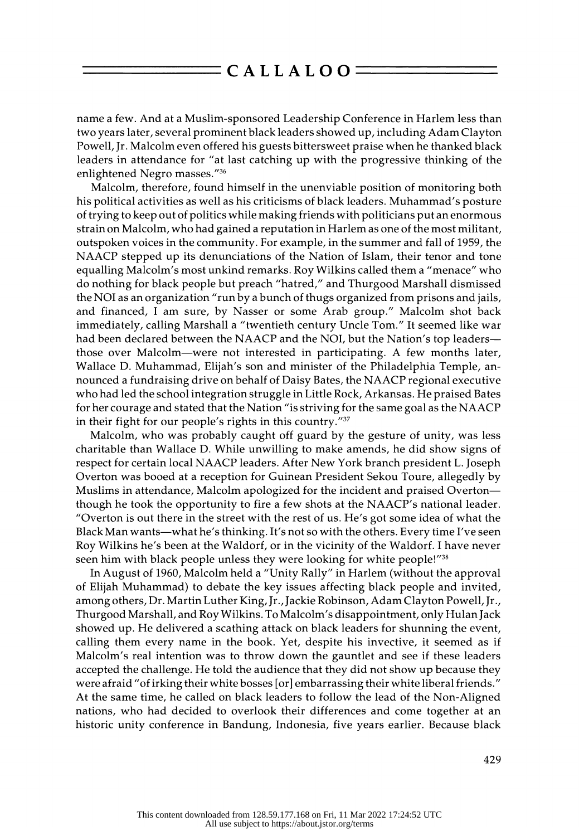name a few. And at a Muslim-sponsored Leadership Conference in Harlem less than two years later, several prominent black leaders showed up, including Adam Clayton Powell, Jr. Malcolm even offered his guests bittersweet praise when he thanked black leaders in attendance for "at last catching up with the progressive thinking of the enlightened Negro masses."36

Malcolm, therefore, found himself in the unenviable position of monitoring both his political activities as well as his criticisms of black leaders. Muhammad's posture of trying to keep out of politics while making friends with politicians put an enormous strain on Malcolm, who had gained a reputation in Harlem as one of the most militant, outspoken voices in the community. For example, in the summer and fall of 1959, the NAACP stepped up its denunciations of the Nation of Islam, their tenor and tone equalling Malcolm's most unkind remarks. Roy Wilkins called them a "menace" who do nothing for black people but preach "hatred," and Thurgood Marshall dismissed the NOI as an organization "run by a bunch of thugs organized from prisons and jails, and financed, I am sure, by Nasser or some Arab group." Malcolm shot back immediately, calling Marshall a "twentieth century Uncle Tom." It seemed like war had been declared between the NAACP and the NOI, but the Nation's top leadersthose over Malcolm-were not interested in participating. A few months later, Wallace D. Muhammad, Elijah's son and minister of the Philadelphia Temple, announced a fundraising drive on behalf of Daisy Bates, the NAACP regional executive who had led the school integration struggle in Little Rock, Arkansas. He praised Bates for her courage and stated that the Nation "is striving for the same goal as the NAACP in their fight for our people's rights in this country."37

Malcolm, who was probably caught off guard by the gesture of unity, was less charitable than Wallace D. While unwilling to make amends, he did show signs of respect for certain local NAACP leaders. After New York branch president L. Joseph Overton was booed at a reception for Guinean President Sekou Toure, allegedly by Muslims in attendance, Malcolm apologized for the incident and praised Overtonthough he took the opportunity to fire a few shots at the NAACP's national leader. "Overton is out there in the street with the rest of us. He's got some idea of what the Black Man wants-what he's thinking. It's not so with the others. Every time I've seen Roy Wilkins he's been at the Waldorf, or in the vicinity of the Waldorf. I have never seen him with black people unless they were looking for white people!"38

In August of 1960, Malcolm held a "Unity Rally" in Harlem (without the approval of Elijah Muhammad) to debate the key issues affecting black people and invited, among others, Dr. Martin Luther King, Jr., Jackie Robinson, Adam Clayton Powell, Jr., Thurgood Marshall, and Roy Wilkins. To Malcolm's disappointment, only Hulan Jack showed up. He delivered a scathing attack on black leaders for shunning the event, calling them every name in the book. Yet, despite his invective, it seemed as if Malcolm's real intention was to throw down the gauntlet and see if these leaders accepted the challenge. He told the audience that they did not show up because they were afraid "of irking their white bosses [or] embarrassing their white liberal friends." At the same time, he called on black leaders to follow the lead of the Non-Aligned nations, who had decided to overlook their differences and come together at an historic unity conference in Bandung, Indonesia, five years earlier. Because black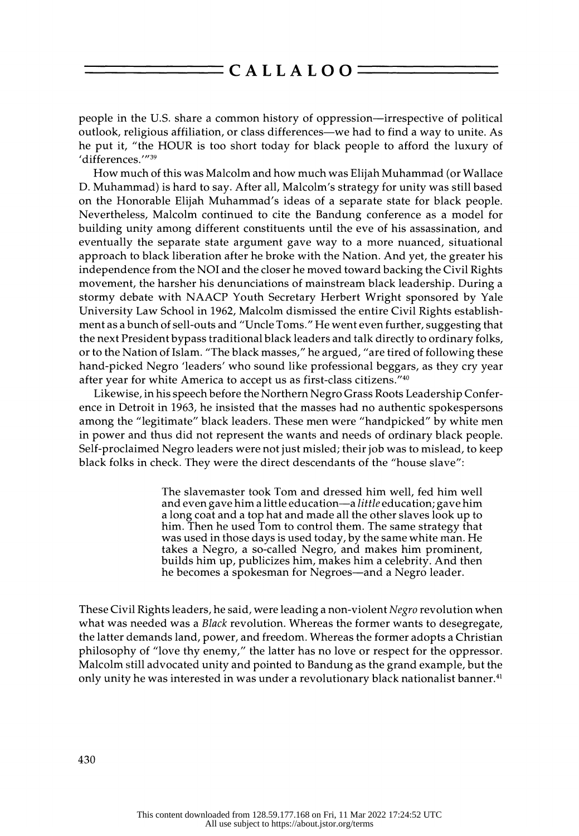### $\subseteq$  C A L L A L O O  $\equiv$

people in the U.S. share a common history of oppression-irrespective of political outlook, religious affiliation, or class differences-we had to find a way to unite. As he put it, "the HOUR is too short today for black people to afford the luxury of 'differences.'"<sup>39</sup>

How much of this was Malcolm and how much was Elijah Muhammad (or Wallace D. Muhammad) is hard to say. After all, Malcolm's strategy for unity was still based on the Honorable Elijah Muhammad's ideas of a separate state for black people. Nevertheless, Malcolm continued to cite the Bandung conference as a model for building unity among different constituents until the eve of his assassination, and eventually the separate state argument gave way to a more nuanced, situational approach to black liberation after he broke with the Nation. And yet, the greater his independence from the NOI and the closer he moved toward backing the Civil Rights movement, the harsher his denunciations of mainstream black leadership. During a stormy debate with NAACP Youth Secretary Herbert Wright sponsored by Yale University Law School in 1962, Malcolm dismissed the entire Civil Rights establishment as a bunch of sell-outs and "Uncle Toms." He went even further, suggesting that the next President bypass traditional black leaders and talk directly to ordinary folks, or to the Nation of Islam. "The black masses," he argued, "are tired of following these hand-picked Negro 'leaders' who sound like professional beggars, as they cry year after year for white America to accept us as first-class citizens."40

Likewise, in his speech before the Northern Negro Grass Roots Leadership Conference in Detroit in 1963, he insisted that the masses had no authentic spokespersons among the "legitimate" black leaders. These men were "handpicked" by white men in power and thus did not represent the wants and needs of ordinary black people. Self-proclaimed Negro leaders were not just misled; their job was to mislead, to keep black folks in check. They were the direct descendants of the "house slave":

> The slavemaster took Tom and dressed him well, fed him well and even gave him a little education-a little education; gave him a long coat and a top hat and made all the other slaves look up to him. Then he used Tom to control them. The same strategy that was used in those days is used today, by the same white man. He takes a Negro, a so-called Negro, and makes him prominent, builds him up, publicizes him, makes him a celebrity. And then he becomes a spokesman for Negroes—and a Negro leader.

These Civil Rights leaders, he said, were leading a non-violent *Negro* revolution when what was needed was a *Black* revolution. Whereas the former wants to desegregate, the latter demands land, power, and freedom. Whereas the former adopts a Christian philosophy of "love thy enemy," the latter has no love or respect for the oppressor. Malcolm still advocated unity and pointed to Bandung as the grand example, but the only unity he was interested in was under a revolutionary black nationalist banner.<sup>41</sup>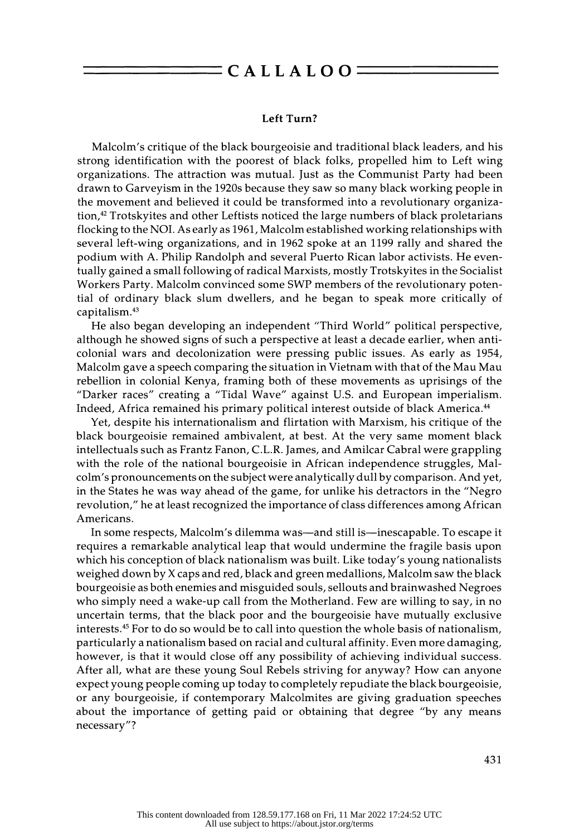# CALLALOO

#### Left Turn?

Malcolm's critique of the black bourgeoisie and traditional black leaders, and his strong identification with the poorest of black folks, propelled him to Left wing organizations. The attraction was mutual. Just as the Communist Party had been drawn to Garveyism in the 1920s because they saw so many black working people in the movement and believed it could be transformed into a revolutionary organization, $42$  Trotskyites and other Leftists noticed the large numbers of black proletarians flocking to the NOI. As early as 1961, Malcolm established working relationships with several left-wing organizations, and in 1962 spoke at an 1199 rally and shared the podium with A. Philip Randolph and several Puerto Rican labor activists. He eventually gained a small following of radical Marxists, mostly Trotskyites in the Socialist Workers Party. Malcolm convinced some SWP members of the revolutionary potential of ordinary black slum dwellers, and he began to speak more critically of capitalism.43

He also began developing an independent "Third World" political perspective, although he showed signs of such a perspective at least a decade earlier, when anticolonial wars and decolonization were pressing public issues. As early as 1954, Malcolm gave a speech comparing the situation in Vietnam with that of the Mau Mau rebellion in colonial Kenya, framing both of these movements as uprisings of the "Darker races" creating a "Tidal Wave" against U.S. and European imperialism. Indeed, Africa remained his primary political interest outside of black America.44

Yet, despite his internationalism and flirtation with Marxism, his critique of the black bourgeoisie remained ambivalent, at best. At the very same moment black intellectuals such as Frantz Fanon, C.L.R. James, and Amilcar Cabral were grappling with the role of the national bourgeoisie in African independence struggles, Malcolm's pronouncements on the subject were analytically dull by comparison. And yet, in the States he was way ahead of the game, for unlike his detractors in the "Negro revolution," he at least recognized the importance of class differences among African Americans.

In some respects, Malcolm's dilemma was—and still is—inescapable. To escape it requires a remarkable analytical leap that would undermine the fragile basis upon which his conception of black nationalism was built. Like today's young nationalists weighed down by X caps and red, black and green medallions, Malcolm saw the black bourgeoisie as both enemies and misguided souls, sellouts and brainwashed Negroes who simply need a wake-up call from the Motherland. Few are willing to say, in no uncertain terms, that the black poor and the bourgeoisie have mutually exclusive interests.45 For to do so would be to call into question the whole basis of nationalism, particularly a nationalism based on racial and cultural affinity. Even more damaging, however, is that it would close off any possibility of achieving individual success. After all, what are these young Soul Rebels striving for anyway? How can anyone expect young people coming up today to completely repudiate the black bourgeoisie, or any bourgeoisie, if contemporary Malcolmites are giving graduation speeches about the importance of getting paid or obtaining that degree "by any means necessary"?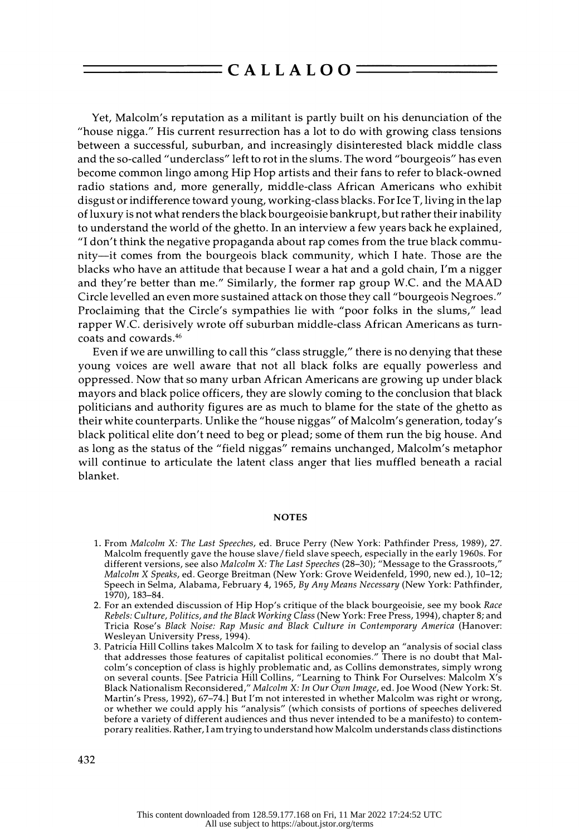Yet, Malcolm's reputation as a militant is partly built on his denunciation of the "house nigga." His current resurrection has a lot to do with growing class tensions between a successful, suburban, and increasingly disinterested black middle class and the so-called "underclass" left to rot in the slums. The word "bourgeois" has even become common lingo among Hip Hop artists and their fans to refer to black-owned radio stations and, more generally, middle-class African Americans who exhibit disgust or indifference toward young, working-class blacks. For Ice T, living in the lap of luxury is not what renders the black bourgeoisie bankrupt, but rather their inability to understand the world of the ghetto. In an interview a few years back he explained, "I don't think the negative propaganda about rap comes from the true black community-it comes from the bourgeois black community, which I hate. Those are the blacks who have an attitude that because I wear a hat and a gold chain, I'm a nigger and they're better than me." Similarly, the former rap group W.C. and the MAAD Circle levelled an even more sustained attack on those they call "bourgeois Negroes." Proclaiming that the Circle's sympathies lie with "poor folks in the slums," lead rapper W.C. derisively wrote off suburban middle-class African Americans as turncoats and cowards.46

Even if we are unwilling to call this "class struggle," there is no denying that these young voices are well aware that not all black folks are equally powerless and oppressed. Now that so many urban African Americans are growing up under black mayors and black police officers, they are slowly coming to the conclusion that black politicians and authority figures are as much to blame for the state of the ghetto as their white counterparts. Unlike the "house niggas" of Malcolm's generation, today's black political elite don't need to beg or plead; some of them run the big house. And as long as the status of the "field niggas" remains unchanged, Malcolm's metaphor will continue to articulate the latent class anger that lies muffled beneath a racial blanket.

#### **NOTES**

- 1. From Malcolm X: The Last Speeches, ed. Bruce Perry (New York: Pathfinder Press, 1989), 27. Malcolm frequently gave the house slave/field slave speech, especially in the early 1960s. For different versions, see also Malcolm X: The Last Speeches (28-30); "Message to the Grassroots,' Malcolm X Speaks, ed. George Breitman (New York: Grove Weidenfeld, 1990, new ed.), 10-12; Speech in Selma, Alabama, February 4, 1965, By Any Means Necessary (New York: Pathfinder, 1970), 183-84.
- 2. For an extended discussion of Hip Hop's critique of the black bourgeoisie, see my book Race Rebels: Culture, Politics, and the Black Working Class (New York: Free Press, 1994), chapter 8; and Tricia Rose's Black Noise: Rap Music and Black Culture in Contemporary America (Hanover: Wesleyan University Press, 1994).
- 3. Patricia Hill Collins takes Malcolm X to task for failing to develop an "analysis of soci that addresses those features of capitalist political economies." There is no doubt t colm's conception of class is highly problematic and, as Collins demonstrates, simply wrong on several counts. [See Patricia Hill Collins, "Learning to Think For Ourselves: Malcolm X's Black Nationalism Reconsidered," Malcolm X: In Our Own Image, ed. Joe Wood (New York: St. Martin's Press, 1992), 67-74.] But I'm not interested in whether Malcolm was right or wrong, or whether we could apply his "analysis" (which consists of portions of speeches delivered before a variety of different audiences and thus never intended to be a manifesto) to contemporary realities. Rather, I am trying to understand how Malcolm understands class distinctions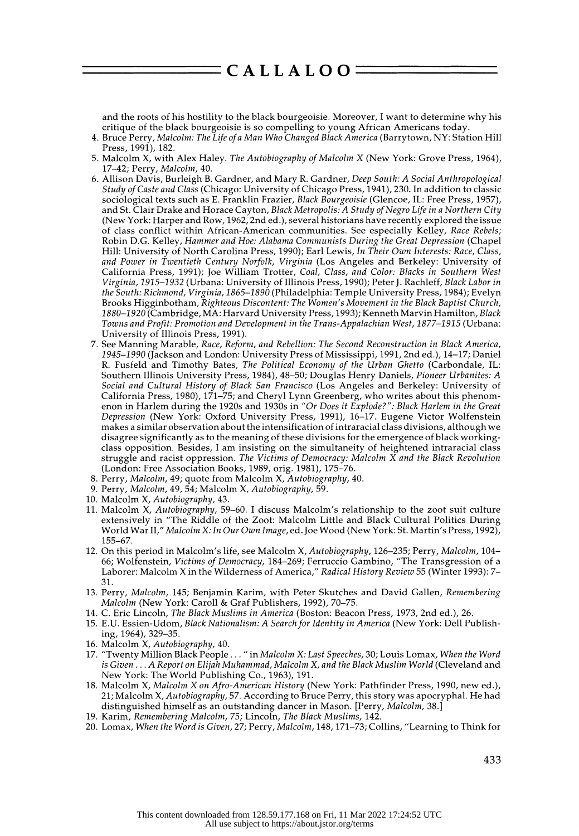and the roots of his hostility to the black bourgeoisie. Moreover, I want to determine why his critique of the black bourgeoisie is so compelling to young African Americans today.

- 4. Bruce Perry, Malcolm: The Life of a Man Who Changed Black America (Barrytown, NY: Station Hill Press, 1991), 182.
- 5. Malcolm X, with Alex Haley. The Autobiography of Malcolm X (New York: Grove Press, 1964), 17-42; Perry, Malcolm, 40.
- 6. Allison Davis, Burleigh B. Gardner, and Mary R. Gardner, Deep South: A Social Anthropological Study of Caste and Class (Chicago: University of Chicago Press, 1941), 230. In addition to classic sociological texts such as E. Franklin Frazier, Black Bourgeoisie (Glencoe, IL: Free Press, 1957), and St. Clair Drake and Horace Cayton, Black Metropolis: A Study of Negro Life in a Northern City (New York: Harper and Row, 1962,2nd ed.), several historians have recently explored the issue of class conflict within African-American communities. See especially Kelley, Race Rebels; Robin D.G. Kelley, Hammer and Hoe: Alabama Communists During the Great Depression (Chapel Hill: University of North Carolina Press, 1990); Earl Lewis, In Their Own Interests: Race, Class, and Power in Twentieth Century Norfolk, Virginia (Los Angeles and Berkeley: University of California Press, 1991); Joe William Trotter, Coal, Class, and Color: Blacks in Southern West Virginia, 1915-1932 (Urbana: University of Illinois Press, 1990); Peter J. Rachleff, Black Labor in the South: Richmond, Virginia, 1865-1890 (Philadelphia: Temple University Press, 1984); Evelyn Brooks Higginbotham, Righteous Discontent: The Women's Movement in the Black Baptist Church, 1880-1920 (Cambridge, MA: Harvard University Press, 1993); Kenneth Marvin Hamilton, Black Towns and Profit: Promotion and Development in the Trans-Appalachian West, 1877-1915 (Urbana: University of Illinois Press, 1991).
- 7. See Manning Marable, Race, Reform, and Rebellion: The Second Reconstruction in Black America, 1945-1990 (Jackson and London: University Press of Mississippi, 1991, 2nd ed.), 14-17; Daniel R. Fusfeld and Timothy Bates, The Political Economy of the Urban Ghetto (Carbondale, IL: Southern Illinois University Press, 1984), 48-50; Douglas Henry Daniels, Pioneer Urbanites: A Social and Cultural History of Black San Francisco (Los Angeles and Berkeley: University of California Press, 1980), 171-75; and Cheryl Lynn Greenberg, who writes about this phenomenon in Harlem during the 1920s and 1930s in "Or Does it Explode?": Black Harlem in the Great Depression (New York: Oxford University Press, 1991), 16-17. Eugene Victor Wolfenstein makes a similar observation about the intensification of intraracial class divisions, although we disagree significantly as to the meaning of these divisions for the emergence of black workingclass opposition. Besides, I am insisting on the simultaneity of heightened intraracial class struggle and racist oppression. The Victims of Democracy: Malcolm  $\overline{X}$  and the Black Revolution (London: Free Association Books, 1989, orig. 1981), 175-76.
- 8. Perry, Malcolm, 49; quote from Malcolm X, Autobiography, 40.
- 9. Perry, Malcolm, 49, 54; Malcolm X, Autobiography, 59.
- 10. Malcolm X, Autobiography, 43.
- 11. Malcolm X, Autobiography, 59-60. I discuss Malcolm's relationship to the zoot suit culture extensively in "The Riddle of the Zoot: Malcolm Little and Black Cultural Politics During World War II," Malcolm X: In Our Own Image, ed. Joe Wood (New York: St. Martin's Press, 1992), 155-67.
- 12. On this period in Malcolm's life, see Malcolm X, Autobiography, 126-235; Perry, Malcolm, 104- 66; Wolfenstein, Victims of Democracy, 184-269; Ferruccio Gambino, "The Transgression of a Laborer: Malcolm X in the Wilderness of America," Radical History Review 55 (Winter 1993): 7-31.
- 13. Perry, Malcolm, 145; Benjamin Karim, with Peter Skutches and David Gallen, Remembering Malcolm (New York: Caroll & Graf Publishers, 1992), 70-75.
- 14. C. Eric Lincoln, The Black Muslims in America (Boston: Beacon Press, 1973, 2nd ed.), 26.
- 15. E.U. Essien-Udom, Black Nationalism: A Search for Identity in America (New York: Dell Publishing, 1964), 329-35.
- 16. Malcolm X, Autobiography, 40.
- 17. "Twenty Million Black People ... " in Malcolm X: Last Speeches, 30; Louis Lomax, When the Word is Given... A Report on Elijah Muhammad, Malcolm X, and the Black Muslim World (Cleveland and New York: The World Publishing Co., 1963), 191.
- 18. Malcolm X, Malcolm X on Afro-American History (New York: Pathfinder Press, 1990, new ed.), 21; Malcolm X, Autobiography, 57. According to Bruce Perry, this story was apocryphal. He had distinguished himself as an outstanding dancer in Mason. [Perry, Malcolm, 38.]
- 19. Karim, Remembering Malcolm, 75; Lincoln, The Black Muslims, 142.
- 20. Lomax, When the Word is Given, 27; Perry, Malcolm, 148,171-73; Collins, "Learning to Think for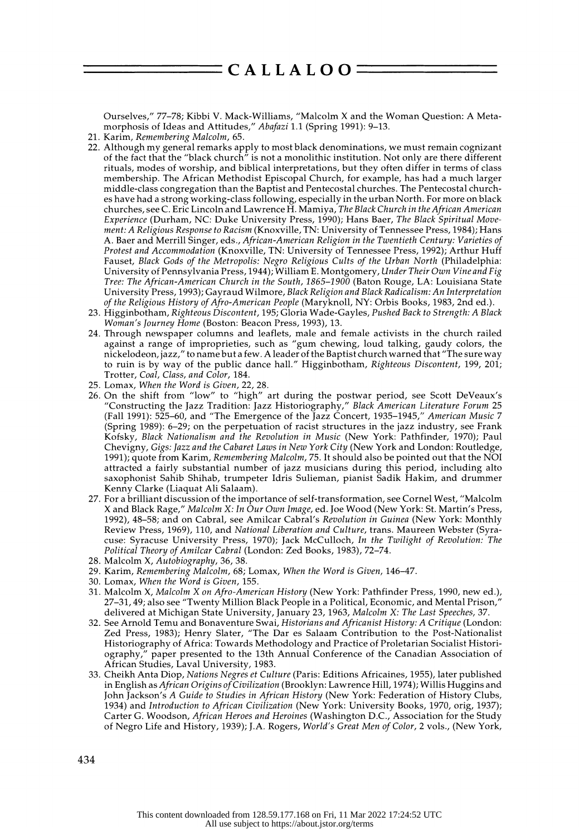Ourselves," 77-78; Kibbi V. Mack-Williams, "Malcolm X and the Woman Question: A Metamorphosis of Ideas and Attitudes," Abafazi 1.1 (Spring 1991): 9-13.

- 21. Karim, Remembering Malcolm, 65.
- 22. Although my general remarks apply to most black denominations, we must remain cognizant of the fact that the "black church" is not a monolithic institution. Not only are there different rituals, modes of worship, and biblical interpretations, but they often differ in terms of class membership. The African Methodist Episcopal Church, for example, has had a much larger middle-class congregation than the Baptist and Pentecostal churches. The Pentecostal churches have had a strong working-class following, especially in the urban North. For more on black churches, see C. Eric Lincoln and Lawrence H. Mamiya, The Black Church in the African American Experience (Durham, NC: Duke University Press, 1990); Hans Baer, The Black Spiritual Movement: A Religious Response to Racism (Knoxville, TN: University of Tennessee Press, 1984); Hans A. Baer and Merrill Singer, eds., African-American Religion in the Twentieth Century: Varieties of Protest and Accommodation (Knoxville, TN: University of Tennessee Press, 1992); Arthur Huff Fauset, Black Gods of the Metropolis: Negro Religious Cults of the Urban North (Philadelphia: University of Pennsylvania Press, 1944); William E. Montgomery, Under Their Own Vine and Fig Tree: The African-American Church in the South, 1865-1900 (Baton Rouge, LA: Louisiana State University Press, 1993); Gayraud Wilmore, Black Religion and Black Radicalism: An Interpretation of the Religious History of Afro-American People (Maryknoll, NY: Orbis Books, 1983, 2nd ed.).
- 23. Higginbotham, Righteous Discontent, 195; Gloria Wade-Gayles, Pushed Back to Strength: A Black Woman's Journey Home (Boston: Beacon Press, 1993), 13.
- 24. Through newspaper columns and leaflets, male and female activists in the church railed against a range of improprieties, such as "gum chewing, loud talking, gaudy colors, the nickelodeon, jazz," to name but a few. A leader of the Baptist church warned that "The sure way to ruin is by way of the public dance hall." Higginbotham, Righteous Discontent, 199, 201; Trotter, Coal, Class, and Color, 184.
- 25. Lomax, When the Word is Given, 22, 28.
- 26. On the shift from "low" to "high" art during the postwar period, see Scott DeVeaux's "Constructing the Jazz Tradition: Jazz Historiography," Black American Literature Forum 25 (Fall 1991): 525-60, and "The Emergence of the Jazz Concert, 1935-1945," American Music 7 (Spring 1989): 6-29; on the perpetuation of racist structures in the jazz industry, see Frank Kofsky, Black Nationalism and the Revolution in Music (New York: Pathfinder, 1970); Paul Chevigny, Gigs: Jazz and the Cabaret Laws in New York City (New York and London: Routledge, 1991); quote from Karim, Remembering Malcolm, 75. It should also be pointed out that the NOI attracted a fairly substantial number of jazz musicians during this period, including alto saxophonist Sahib Shihab, trumpeter Idris Sulieman, pianist Sadik Hakim, and drummer Kenny Clarke (Liaquat Ali Salaam).
- 27. For a brilliant discussion of the importance of self-transformation, see Cornel West, "Malcolm X and Black Rage," Malcolm X: In Our Own Image, ed. Joe Wood (New York: St. Martin's Press, 1992), 48-58; and on Cabral, see Amilcar Cabral's Revolution in Guinea (New York: Monthly Review Press, 1969), 110, and National Liberation and Culture, trans. Maureen Webster (Syracuse: Syracuse University Press, 1970); Jack McCulloch, In the Twilight of Revolution: The Political Theory of Amilcar Cabral (London: Zed Books, 1983), 72-74.
- 28. Malcolm X, Autobiography, 36, 38.
- 29. Karim, Remembering Malcolm, 68; Lomax, When the Word is Given, 146-47.
- 30. Lomax, When the Word is Given, 155.
- 31. Malcolm X, Malcolm X on Afro-American History (New York: Pathfinder Press, 1990, new ed.), 27-31, 49; also see "Twenty Million Black People in a Political, Economic, and Mental Prison," delivered at Michigan State University, January 23, 1963, Malcolm X: The Last Speeches, 37.
- 32. See Arnold Temu and Bonaventure Swai, Historians and Africanist History: A Critique (London: Zed Press, 1983); Henry Slater, "The Dar es Salaam Contribution to the Post-Nationalist Historiography of Africa: Towards Methodology and Practice of Proletarian Socialist Historiography," paper presented to the 13th Annual Conference of the Canadian Association of African Studies, Laval University, 1983.
- 33. Cheikh Anta Diop, Nations Negres et Culture (Paris: Editions Africaines, 1955), later published in English as African Origins of Civilization (Brooklyn: Lawrence Hill, 1974); Willis Huggins and John Jackson's A Guide to Studies in African History (New York: Federation of History Clubs, 1934) and Introduction to African Civilization (New York: University Books, 1970, orig, 1937); Carter G. Woodson, African Heroes and Heroines (Washington D.C., Association for the Study of Negro Life and History, 1939); J.A. Rogers, World's Great Men of Color, 2 vols., (New York,